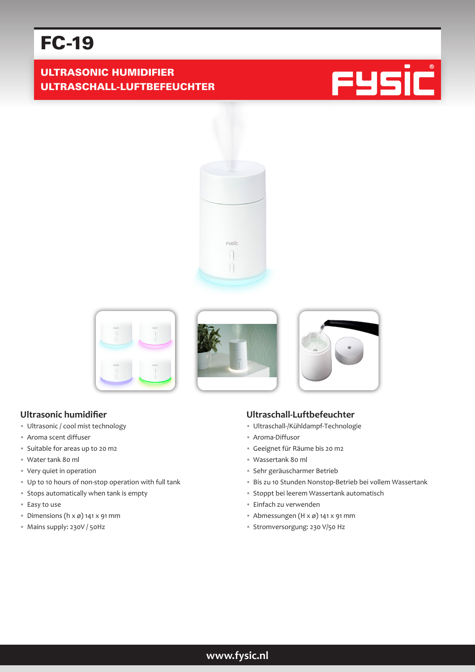# FC-19

# ULTRASONIC HUMIDIFIER ULTRASCHALL-LUFTBEFEUCHTER











#### **Ultrasonic humidifier**

- Ultrasonic / cool mist technology
- Aroma scent diffuser
- Suitable for areas up to 20 m2
- Water tank 80 ml
- Very quiet in operation
- Up to 10 hours of non-stop operation with full tank
- Stops automatically when tank is empty
- Easy to use
- Dimensions ( $h \times \emptyset$ ) 141 x 91 mm
- Mains supply: 230V / 50Hz

#### **Ultraschall-Luftbefeuchter**

- Ultraschall-/Kühldampf-Technologie
- Aroma-Diffusor
- Geeignet für Räume bis 20 m2
- Wassertank 80 ml
- Sehr geräuscharmer Betrieb
- Bis zu 10 Stunden Nonstop-Betrieb bei vollem Wassertank
- Stoppt bei leerem Wassertank automatisch
- Einfach zu verwenden
- Abmessungen (H x ø) 141 x 91 mm
- Stromversorgung: 230 V/50 Hz